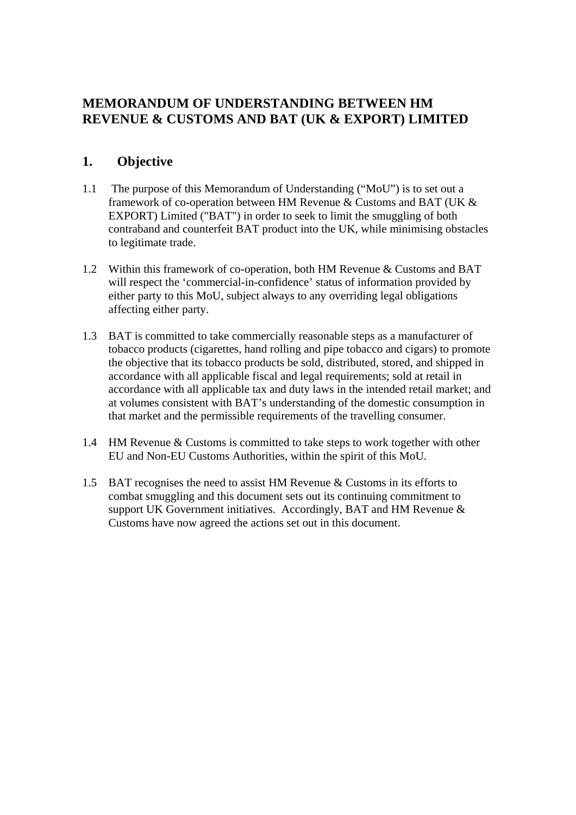# **MEMORANDUM OF UNDERSTANDING BETWEEN HM REVENUE & CUSTOMS AND BAT (UK & EXPORT) LIMITED**

## **1. Objective**

- 1.1 The purpose of this Memorandum of Understanding ("MoU") is to set out a framework of co-operation between HM Revenue & Customs and BAT (UK & EXPORT) Limited ("BAT") in order to seek to limit the smuggling of both contraband and counterfeit BAT product into the UK, while minimising obstacles to legitimate trade.
- 1.2 Within this framework of co-operation, both HM Revenue & Customs and BAT will respect the 'commercial-in-confidence' status of information provided by either party to this MoU, subject always to any overriding legal obligations affecting either party.
- 1.3 BAT is committed to take commercially reasonable steps as a manufacturer of tobacco products (cigarettes, hand rolling and pipe tobacco and cigars) to promote the objective that its tobacco products be sold, distributed, stored, and shipped in accordance with all applicable fiscal and legal requirements; sold at retail in accordance with all applicable tax and duty laws in the intended retail market; and at volumes consistent with BAT's understanding of the domestic consumption in that market and the permissible requirements of the travelling consumer.
- 1.4 HM Revenue & Customs is committed to take steps to work together with other EU and Non-EU Customs Authorities, within the spirit of this MoU.
- 1.5 BAT recognises the need to assist HM Revenue & Customs in its efforts to combat smuggling and this document sets out its continuing commitment to support UK Government initiatives. Accordingly, BAT and HM Revenue & Customs have now agreed the actions set out in this document.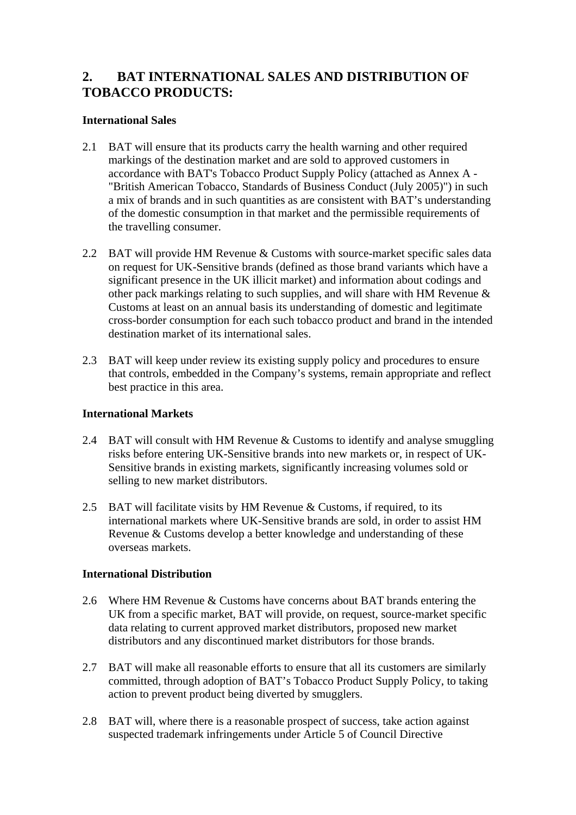# **2. BAT INTERNATIONAL SALES AND DISTRIBUTION OF TOBACCO PRODUCTS:**

### **International Sales**

- 2.1 BAT will ensure that its products carry the health warning and other required markings of the destination market and are sold to approved customers in accordance with BAT's Tobacco Product Supply Policy (attached as Annex A - "British American Tobacco, Standards of Business Conduct (July 2005)") in such a mix of brands and in such quantities as are consistent with BAT's understanding of the domestic consumption in that market and the permissible requirements of the travelling consumer.
- 2.2 BAT will provide HM Revenue & Customs with source-market specific sales data on request for UK-Sensitive brands (defined as those brand variants which have a significant presence in the UK illicit market) and information about codings and other pack markings relating to such supplies, and will share with HM Revenue & Customs at least on an annual basis its understanding of domestic and legitimate cross-border consumption for each such tobacco product and brand in the intended destination market of its international sales.
- 2.3 BAT will keep under review its existing supply policy and procedures to ensure that controls, embedded in the Company's systems, remain appropriate and reflect best practice in this area.

#### **International Markets**

- 2.4 BAT will consult with HM Revenue & Customs to identify and analyse smuggling risks before entering UK-Sensitive brands into new markets or, in respect of UK-Sensitive brands in existing markets, significantly increasing volumes sold or selling to new market distributors.
- 2.5 BAT will facilitate visits by HM Revenue  $&$  Customs, if required, to its international markets where UK-Sensitive brands are sold, in order to assist HM Revenue & Customs develop a better knowledge and understanding of these overseas markets.

### **International Distribution**

- 2.6 Where HM Revenue & Customs have concerns about BAT brands entering the UK from a specific market, BAT will provide, on request, source-market specific data relating to current approved market distributors, proposed new market distributors and any discontinued market distributors for those brands.
- 2.7 BAT will make all reasonable efforts to ensure that all its customers are similarly committed, through adoption of BAT's Tobacco Product Supply Policy, to taking action to prevent product being diverted by smugglers.
- 2.8 BAT will, where there is a reasonable prospect of success, take action against suspected trademark infringements under Article 5 of Council Directive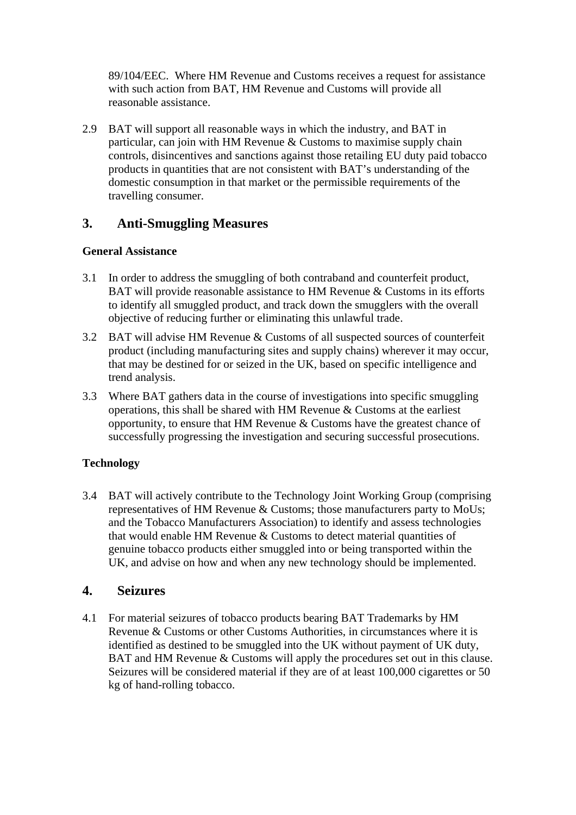89/104/EEC. Where HM Revenue and Customs receives a request for assistance with such action from BAT, HM Revenue and Customs will provide all reasonable assistance.

2.9 BAT will support all reasonable ways in which the industry, and BAT in particular, can join with HM Revenue & Customs to maximise supply chain controls, disincentives and sanctions against those retailing EU duty paid tobacco products in quantities that are not consistent with BAT's understanding of the domestic consumption in that market or the permissible requirements of the travelling consumer.

# **3. Anti-Smuggling Measures**

### **General Assistance**

- 3.1 In order to address the smuggling of both contraband and counterfeit product, BAT will provide reasonable assistance to HM Revenue & Customs in its efforts to identify all smuggled product, and track down the smugglers with the overall objective of reducing further or eliminating this unlawful trade.
- 3.2 BAT will advise HM Revenue & Customs of all suspected sources of counterfeit product (including manufacturing sites and supply chains) wherever it may occur, that may be destined for or seized in the UK, based on specific intelligence and trend analysis.
- 3.3 Where BAT gathers data in the course of investigations into specific smuggling operations, this shall be shared with HM Revenue & Customs at the earliest opportunity, to ensure that HM Revenue & Customs have the greatest chance of successfully progressing the investigation and securing successful prosecutions.

## **Technology**

3.4 BAT will actively contribute to the Technology Joint Working Group (comprising representatives of HM Revenue & Customs; those manufacturers party to MoUs; and the Tobacco Manufacturers Association) to identify and assess technologies that would enable HM Revenue & Customs to detect material quantities of genuine tobacco products either smuggled into or being transported within the UK, and advise on how and when any new technology should be implemented.

## **4. Seizures**

4.1 For material seizures of tobacco products bearing BAT Trademarks by HM Revenue & Customs or other Customs Authorities, in circumstances where it is identified as destined to be smuggled into the UK without payment of UK duty, BAT and HM Revenue & Customs will apply the procedures set out in this clause. Seizures will be considered material if they are of at least 100,000 cigarettes or 50 kg of hand-rolling tobacco.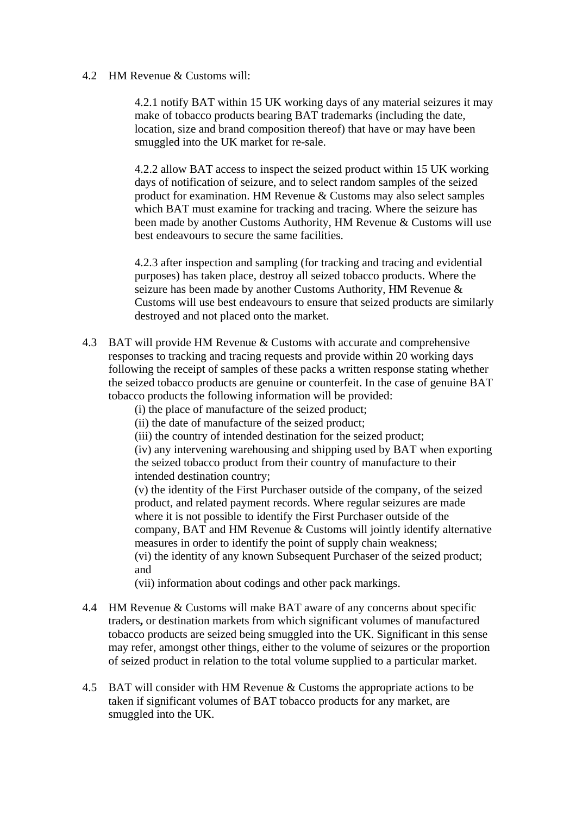#### 4.2 HM Revenue & Customs will:

4.2.1 notify BAT within 15 UK working days of any material seizures it may make of tobacco products bearing BAT trademarks (including the date, location, size and brand composition thereof) that have or may have been smuggled into the UK market for re-sale.

4.2.2 allow BAT access to inspect the seized product within 15 UK working days of notification of seizure, and to select random samples of the seized product for examination. HM Revenue & Customs may also select samples which BAT must examine for tracking and tracing. Where the seizure has been made by another Customs Authority, HM Revenue & Customs will use best endeavours to secure the same facilities.

4.2.3 after inspection and sampling (for tracking and tracing and evidential purposes) has taken place, destroy all seized tobacco products. Where the seizure has been made by another Customs Authority, HM Revenue & Customs will use best endeavours to ensure that seized products are similarly destroyed and not placed onto the market.

4.3 BAT will provide HM Revenue & Customs with accurate and comprehensive responses to tracking and tracing requests and provide within 20 working days following the receipt of samples of these packs a written response stating whether the seized tobacco products are genuine or counterfeit. In the case of genuine BAT tobacco products the following information will be provided:

(i) the place of manufacture of the seized product;

(ii) the date of manufacture of the seized product;

(iii) the country of intended destination for the seized product;

(iv) any intervening warehousing and shipping used by BAT when exporting the seized tobacco product from their country of manufacture to their intended destination country;

(v) the identity of the First Purchaser outside of the company, of the seized product, and related payment records. Where regular seizures are made where it is not possible to identify the First Purchaser outside of the company, BAT and HM Revenue & Customs will jointly identify alternative measures in order to identify the point of supply chain weakness; (vi) the identity of any known Subsequent Purchaser of the seized product; and

(vii) information about codings and other pack markings.

- 4.4 HM Revenue & Customs will make BAT aware of any concerns about specific traders**,** or destination markets from which significant volumes of manufactured tobacco products are seized being smuggled into the UK. Significant in this sense may refer, amongst other things, either to the volume of seizures or the proportion of seized product in relation to the total volume supplied to a particular market.
- 4.5 BAT will consider with HM Revenue & Customs the appropriate actions to be taken if significant volumes of BAT tobacco products for any market, are smuggled into the UK.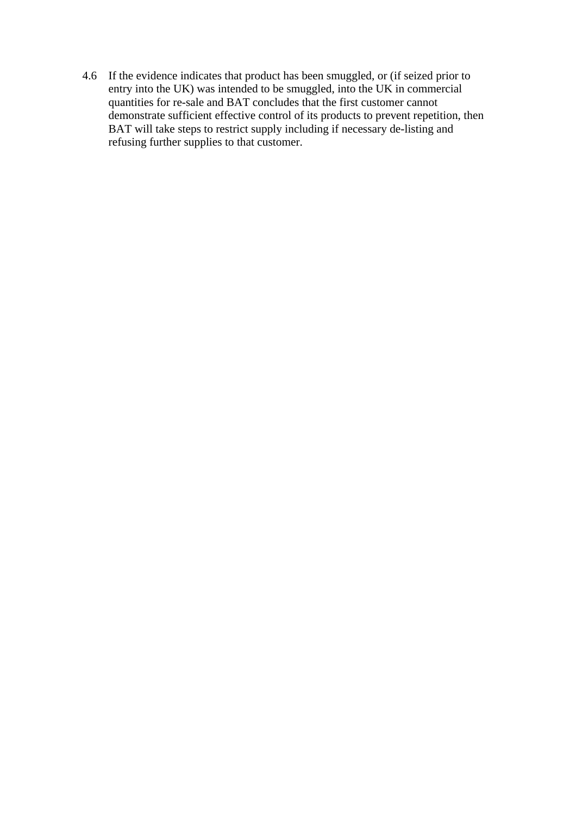4.6 If the evidence indicates that product has been smuggled, or (if seized prior to entry into the UK) was intended to be smuggled, into the UK in commercial quantities for re-sale and BAT concludes that the first customer cannot demonstrate sufficient effective control of its products to prevent repetition, then BAT will take steps to restrict supply including if necessary de-listing and refusing further supplies to that customer.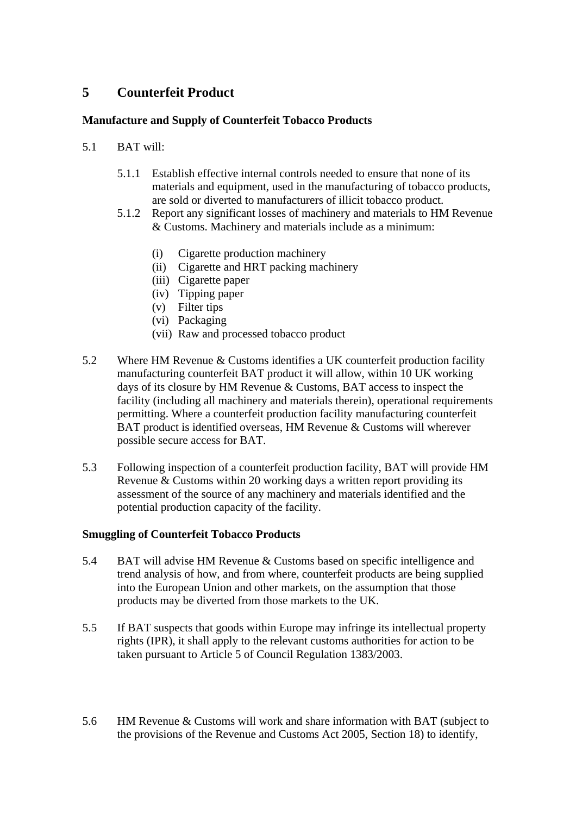# **5 Counterfeit Product**

## **Manufacture and Supply of Counterfeit Tobacco Products**

- 5.1 BAT will:
	- 5.1.1 Establish effective internal controls needed to ensure that none of its materials and equipment, used in the manufacturing of tobacco products, are sold or diverted to manufacturers of illicit tobacco product.
	- 5.1.2 Report any significant losses of machinery and materials to HM Revenue & Customs. Machinery and materials include as a minimum:
		- (i) Cigarette production machinery
		- (ii) Cigarette and HRT packing machinery
		- (iii) Cigarette paper
		- (iv) Tipping paper
		- (v) Filter tips
		- (vi) Packaging
		- (vii) Raw and processed tobacco product
- 5.2 Where HM Revenue & Customs identifies a UK counterfeit production facility manufacturing counterfeit BAT product it will allow, within 10 UK working days of its closure by HM Revenue & Customs, BAT access to inspect the facility (including all machinery and materials therein), operational requirements permitting. Where a counterfeit production facility manufacturing counterfeit BAT product is identified overseas, HM Revenue & Customs will wherever possible secure access for BAT.
- 5.3 Following inspection of a counterfeit production facility, BAT will provide HM Revenue & Customs within 20 working days a written report providing its assessment of the source of any machinery and materials identified and the potential production capacity of the facility.

### **Smuggling of Counterfeit Tobacco Products**

- 5.4 BAT will advise HM Revenue & Customs based on specific intelligence and trend analysis of how, and from where, counterfeit products are being supplied into the European Union and other markets, on the assumption that those products may be diverted from those markets to the UK.
- 5.5 If BAT suspects that goods within Europe may infringe its intellectual property rights (IPR), it shall apply to the relevant customs authorities for action to be taken pursuant to Article 5 of Council Regulation 1383/2003.
- 5.6 HM Revenue & Customs will work and share information with BAT (subject to the provisions of the Revenue and Customs Act 2005, Section 18) to identify,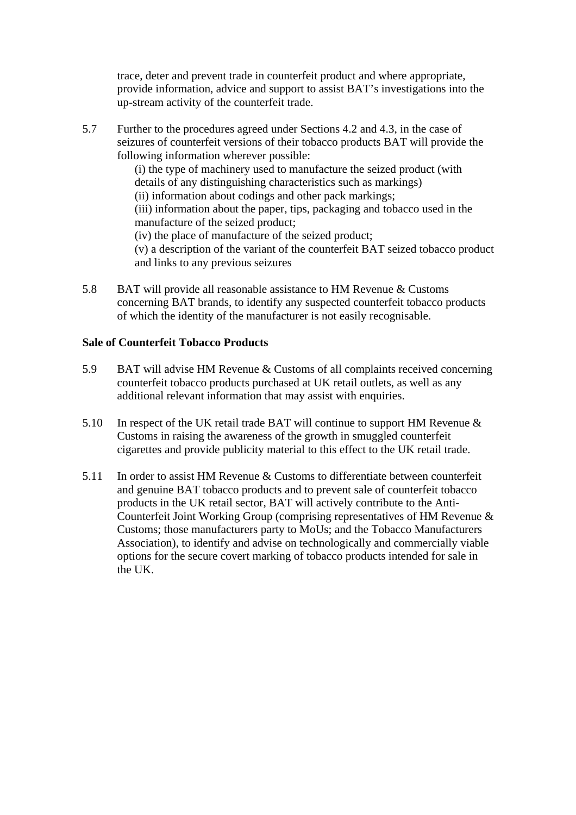trace, deter and prevent trade in counterfeit product and where appropriate, provide information, advice and support to assist BAT's investigations into the up-stream activity of the counterfeit trade.

5.7 Further to the procedures agreed under Sections 4.2 and 4.3, in the case of seizures of counterfeit versions of their tobacco products BAT will provide the following information wherever possible:

(i) the type of machinery used to manufacture the seized product (with details of any distinguishing characteristics such as markings) (ii) information about codings and other pack markings; (iii) information about the paper, tips, packaging and tobacco used in the manufacture of the seized product; (iv) the place of manufacture of the seized product; (v) a description of the variant of the counterfeit BAT seized tobacco product and links to any previous seizures

5.8 BAT will provide all reasonable assistance to HM Revenue & Customs concerning BAT brands, to identify any suspected counterfeit tobacco products of which the identity of the manufacturer is not easily recognisable.

### **Sale of Counterfeit Tobacco Products**

- 5.9 BAT will advise HM Revenue & Customs of all complaints received concerning counterfeit tobacco products purchased at UK retail outlets, as well as any additional relevant information that may assist with enquiries.
- 5.10 In respect of the UK retail trade BAT will continue to support HM Revenue  $\&$ Customs in raising the awareness of the growth in smuggled counterfeit cigarettes and provide publicity material to this effect to the UK retail trade.
- 5.11 In order to assist HM Revenue & Customs to differentiate between counterfeit and genuine BAT tobacco products and to prevent sale of counterfeit tobacco products in the UK retail sector, BAT will actively contribute to the Anti-Counterfeit Joint Working Group (comprising representatives of HM Revenue & Customs; those manufacturers party to MoUs; and the Tobacco Manufacturers Association), to identify and advise on technologically and commercially viable options for the secure covert marking of tobacco products intended for sale in the UK.